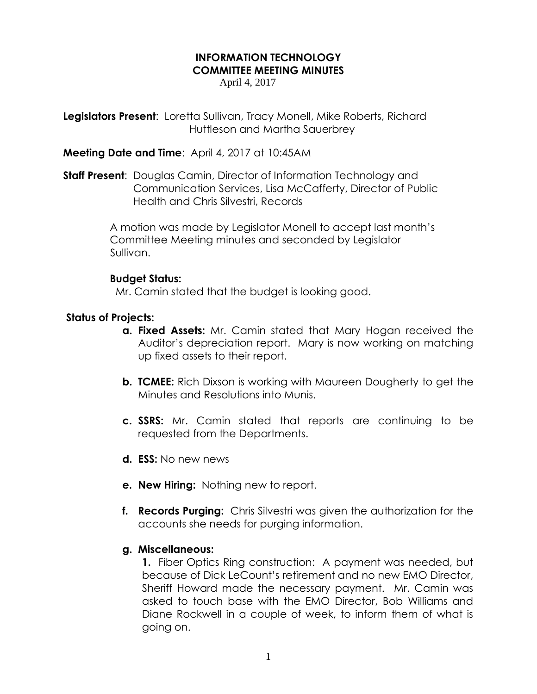# **INFORMATION TECHNOLOGY COMMITTEE MEETING MINUTES**

April 4, 2017

**Legislators Present**: Loretta Sullivan, Tracy Monell, Mike Roberts, Richard Huttleson and Martha Sauerbrey

## **Meeting Date and Time**: April 4, 2017 at 10:45AM

**Staff Present**: Douglas Camin, Director of Information Technology and Communication Services, Lisa McCafferty, Director of Public Health and Chris Silvestri, Records

> A motion was made by Legislator Monell to accept last month's Committee Meeting minutes and seconded by Legislator Sullivan.

## **Budget Status:**

Mr. Camin stated that the budget is looking good.

# **Status of Projects:**

- **a. Fixed Assets:** Mr. Camin stated that Mary Hogan received the Auditor's depreciation report. Mary is now working on matching up fixed assets to their report.
- **b. TCMEE:** Rich Dixson is working with Maureen Dougherty to get the Minutes and Resolutions into Munis.
- **c. SSRS:** Mr. Camin stated that reports are continuing to be requested from the Departments.
- **d. ESS:** No new news
- **e. New Hiring:** Nothing new to report.
- **f. Records Purging:** Chris Silvestri was given the authorization for the accounts she needs for purging information.

## **g. Miscellaneous:**

**1.** Fiber Optics Ring construction: A payment was needed, but because of Dick LeCount's retirement and no new EMO Director, Sheriff Howard made the necessary payment. Mr. Camin was asked to touch base with the EMO Director, Bob Williams and Diane Rockwell in a couple of week, to inform them of what is going on.